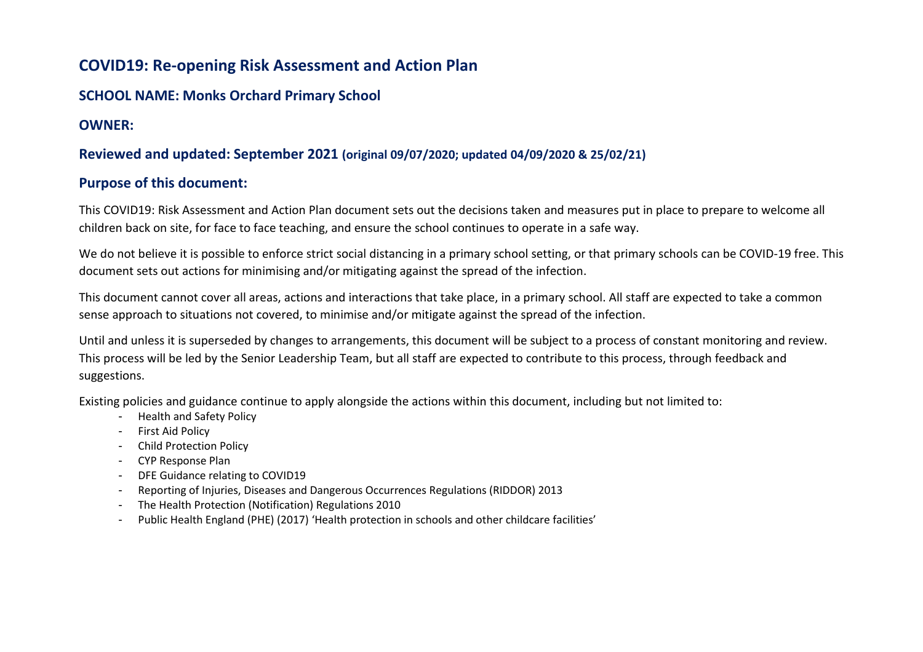# **COVID19: Re-opening Risk Assessment and Action Plan**

### **SCHOOL NAME: Monks Orchard Primary School**

#### **OWNER:**

## **Reviewed and updated: September 2021 (original 09/07/2020; updated 04/09/2020 & 25/02/21)**

#### **Purpose of this document:**

This COVID19: Risk Assessment and Action Plan document sets out the decisions taken and measures put in place to prepare to welcome all children back on site, for face to face teaching, and ensure the school continues to operate in a safe way.

We do not believe it is possible to enforce strict social distancing in a primary school setting, or that primary schools can be COVID-19 free. This document sets out actions for minimising and/or mitigating against the spread of the infection.

This document cannot cover all areas, actions and interactions that take place, in a primary school. All staff are expected to take a common sense approach to situations not covered, to minimise and/or mitigate against the spread of the infection.

Until and unless it is superseded by changes to arrangements, this document will be subject to a process of constant monitoring and review. This process will be led by the Senior Leadership Team, but all staff are expected to contribute to this process, through feedback and suggestions.

Existing policies and guidance continue to apply alongside the actions within this document, including but not limited to:

- Health and Safety Policy
- First Aid Policy
- Child Protection Policy
- CYP Response Plan
- DFE Guidance relating to COVID19
- Reporting of Injuries, Diseases and Dangerous Occurrences Regulations (RIDDOR) 2013
- The Health Protection (Notification) Regulations 2010
- Public Health England (PHE) (2017) 'Health protection in schools and other childcare facilities'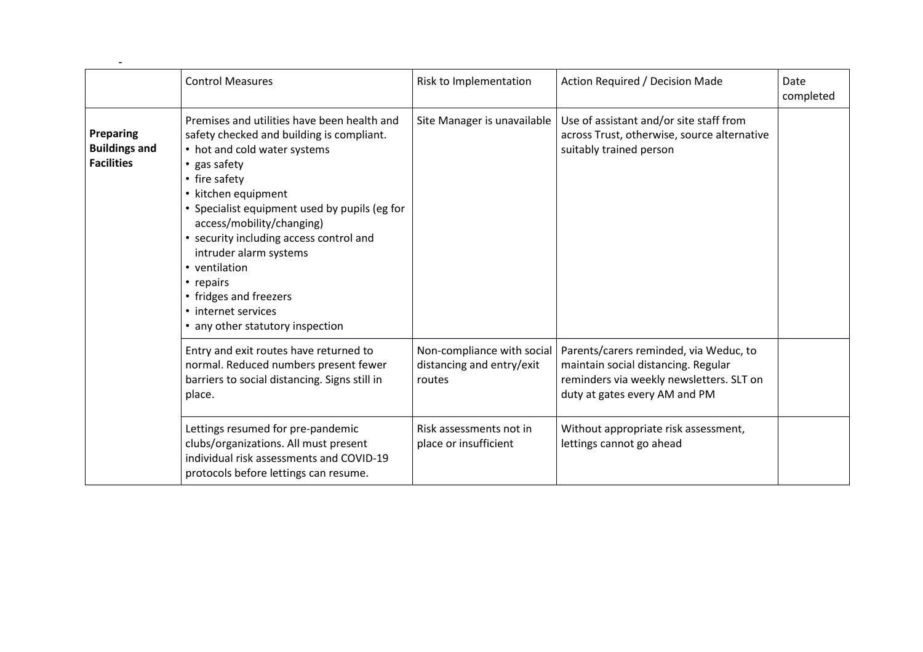|                                                        | <b>Control Measures</b>                                                                                                                                                                                                                                                                                                                                                                                                                                | Risk to Implementation                                            | Action Required / Decision Made                                                                                                                            | Date<br>completed |
|--------------------------------------------------------|--------------------------------------------------------------------------------------------------------------------------------------------------------------------------------------------------------------------------------------------------------------------------------------------------------------------------------------------------------------------------------------------------------------------------------------------------------|-------------------------------------------------------------------|------------------------------------------------------------------------------------------------------------------------------------------------------------|-------------------|
| Preparing<br><b>Buildings and</b><br><b>Facilities</b> | Premises and utilities have been health and<br>safety checked and building is compliant.<br>• hot and cold water systems<br>• gas safety<br>• fire safety<br>• kitchen equipment<br>• Specialist equipment used by pupils (eg for<br>access/mobility/changing)<br>• security including access control and<br>intruder alarm systems<br>• ventilation<br>• repairs<br>• fridges and freezers<br>• internet services<br>• any other statutory inspection | Site Manager is unavailable                                       | Use of assistant and/or site staff from<br>across Trust, otherwise, source alternative<br>suitably trained person                                          |                   |
|                                                        | Entry and exit routes have returned to<br>normal. Reduced numbers present fewer<br>barriers to social distancing. Signs still in<br>place.                                                                                                                                                                                                                                                                                                             | Non-compliance with social<br>distancing and entry/exit<br>routes | Parents/carers reminded, via Weduc, to<br>maintain social distancing. Regular<br>reminders via weekly newsletters. SLT on<br>duty at gates every AM and PM |                   |
|                                                        | Lettings resumed for pre-pandemic<br>clubs/organizations. All must present<br>individual risk assessments and COVID-19<br>protocols before lettings can resume.                                                                                                                                                                                                                                                                                        | Risk assessments not in<br>place or insufficient                  | Without appropriate risk assessment,<br>lettings cannot go ahead                                                                                           |                   |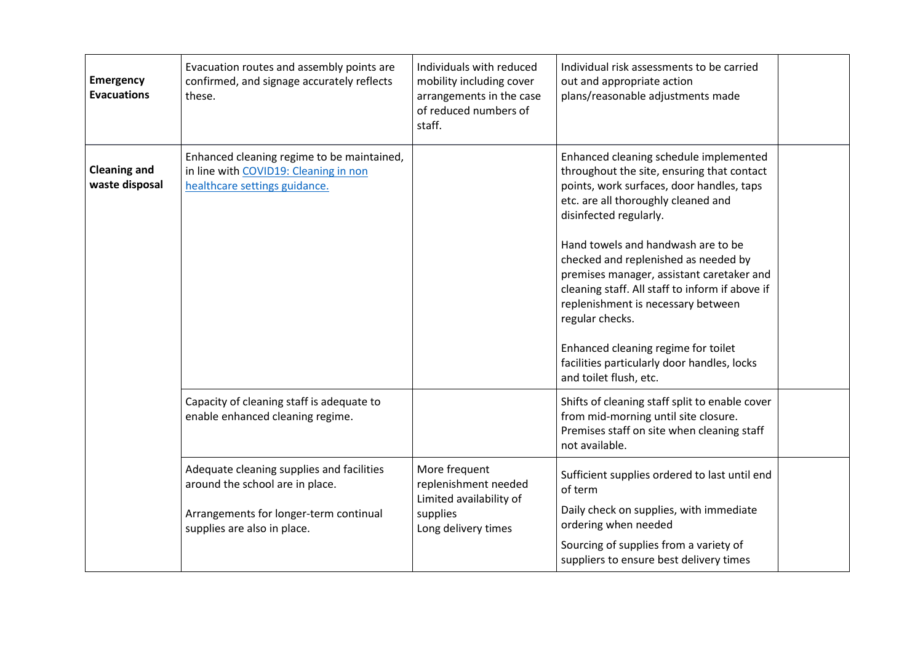| <b>Emergency</b><br><b>Evacuations</b> | Evacuation routes and assembly points are<br>confirmed, and signage accurately reflects<br>these.                                                     | Individuals with reduced<br>mobility including cover<br>arrangements in the case<br>of reduced numbers of<br>staff. | Individual risk assessments to be carried<br>out and appropriate action<br>plans/reasonable adjustments made                                                                                                                                                                                                                                                                                                                                                                                                                                              |  |
|----------------------------------------|-------------------------------------------------------------------------------------------------------------------------------------------------------|---------------------------------------------------------------------------------------------------------------------|-----------------------------------------------------------------------------------------------------------------------------------------------------------------------------------------------------------------------------------------------------------------------------------------------------------------------------------------------------------------------------------------------------------------------------------------------------------------------------------------------------------------------------------------------------------|--|
| <b>Cleaning and</b><br>waste disposal  | Enhanced cleaning regime to be maintained,<br>in line with COVID19: Cleaning in non<br>healthcare settings guidance.                                  |                                                                                                                     | Enhanced cleaning schedule implemented<br>throughout the site, ensuring that contact<br>points, work surfaces, door handles, taps<br>etc. are all thoroughly cleaned and<br>disinfected regularly.<br>Hand towels and handwash are to be<br>checked and replenished as needed by<br>premises manager, assistant caretaker and<br>cleaning staff. All staff to inform if above if<br>replenishment is necessary between<br>regular checks.<br>Enhanced cleaning regime for toilet<br>facilities particularly door handles, locks<br>and toilet flush, etc. |  |
|                                        | Capacity of cleaning staff is adequate to<br>enable enhanced cleaning regime.                                                                         |                                                                                                                     | Shifts of cleaning staff split to enable cover<br>from mid-morning until site closure.<br>Premises staff on site when cleaning staff<br>not available.                                                                                                                                                                                                                                                                                                                                                                                                    |  |
|                                        | Adequate cleaning supplies and facilities<br>around the school are in place.<br>Arrangements for longer-term continual<br>supplies are also in place. | More frequent<br>replenishment needed<br>Limited availability of<br>supplies<br>Long delivery times                 | Sufficient supplies ordered to last until end<br>of term<br>Daily check on supplies, with immediate<br>ordering when needed<br>Sourcing of supplies from a variety of<br>suppliers to ensure best delivery times                                                                                                                                                                                                                                                                                                                                          |  |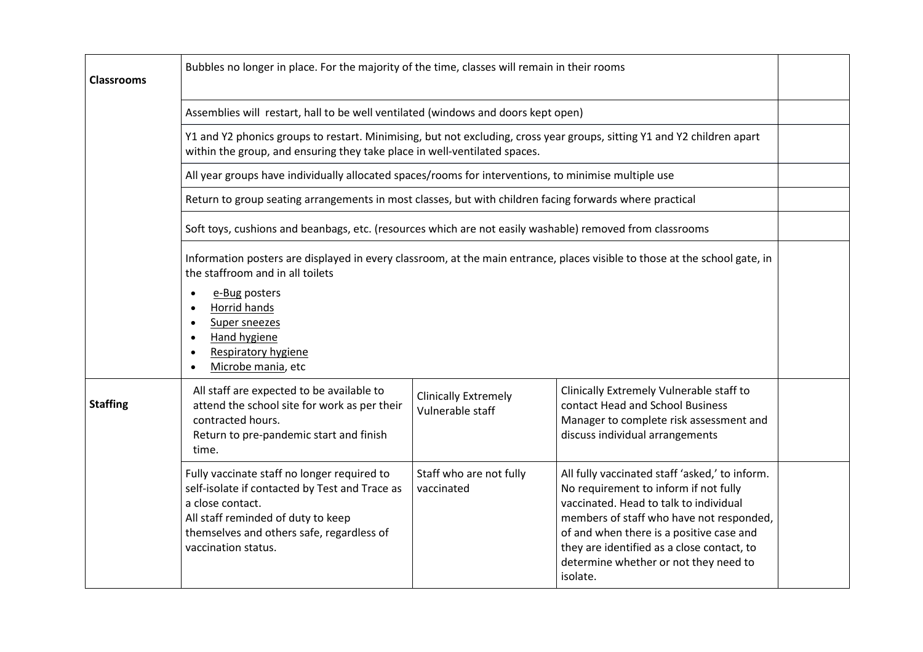| <b>Classrooms</b> | Bubbles no longer in place. For the majority of the time, classes will remain in their rooms                                                                                                                                                                                                                                                    |                                                 |                                                                                                                                                                                                                                                                                                                              |  |
|-------------------|-------------------------------------------------------------------------------------------------------------------------------------------------------------------------------------------------------------------------------------------------------------------------------------------------------------------------------------------------|-------------------------------------------------|------------------------------------------------------------------------------------------------------------------------------------------------------------------------------------------------------------------------------------------------------------------------------------------------------------------------------|--|
|                   | Assemblies will restart, hall to be well ventilated (windows and doors kept open)                                                                                                                                                                                                                                                               |                                                 |                                                                                                                                                                                                                                                                                                                              |  |
|                   | Y1 and Y2 phonics groups to restart. Minimising, but not excluding, cross year groups, sitting Y1 and Y2 children apart<br>within the group, and ensuring they take place in well-ventilated spaces.                                                                                                                                            |                                                 |                                                                                                                                                                                                                                                                                                                              |  |
|                   | All year groups have individually allocated spaces/rooms for interventions, to minimise multiple use                                                                                                                                                                                                                                            |                                                 |                                                                                                                                                                                                                                                                                                                              |  |
|                   | Return to group seating arrangements in most classes, but with children facing forwards where practical                                                                                                                                                                                                                                         |                                                 |                                                                                                                                                                                                                                                                                                                              |  |
|                   | Soft toys, cushions and beanbags, etc. (resources which are not easily washable) removed from classrooms                                                                                                                                                                                                                                        |                                                 |                                                                                                                                                                                                                                                                                                                              |  |
|                   | Information posters are displayed in every classroom, at the main entrance, places visible to those at the school gate, in<br>the staffroom and in all toilets<br>e-Bug posters<br>$\bullet$<br>Horrid hands<br>$\bullet$<br>Super sneezes<br>$\bullet$<br><b>Hand hygiene</b><br>$\bullet$<br><b>Respiratory hygiene</b><br>Microbe mania, etc |                                                 |                                                                                                                                                                                                                                                                                                                              |  |
| <b>Staffing</b>   | All staff are expected to be available to<br>attend the school site for work as per their<br>contracted hours.<br>Return to pre-pandemic start and finish<br>time.                                                                                                                                                                              | <b>Clinically Extremely</b><br>Vulnerable staff | Clinically Extremely Vulnerable staff to<br>contact Head and School Business<br>Manager to complete risk assessment and<br>discuss individual arrangements                                                                                                                                                                   |  |
|                   | Fully vaccinate staff no longer required to<br>self-isolate if contacted by Test and Trace as<br>a close contact.<br>All staff reminded of duty to keep<br>themselves and others safe, regardless of<br>vaccination status.                                                                                                                     | Staff who are not fully<br>vaccinated           | All fully vaccinated staff 'asked,' to inform.<br>No requirement to inform if not fully<br>vaccinated. Head to talk to individual<br>members of staff who have not responded,<br>of and when there is a positive case and<br>they are identified as a close contact, to<br>determine whether or not they need to<br>isolate. |  |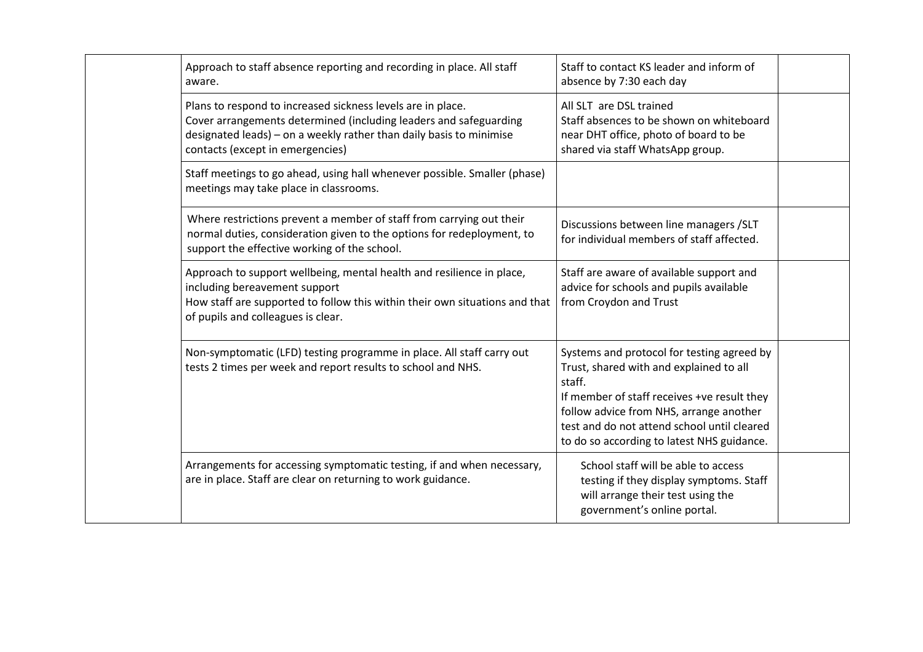| Approach to staff absence reporting and recording in place. All staff<br>aware.                                                                                                                                                             | Staff to contact KS leader and inform of<br>absence by 7:30 each day                                                                                                                                                                                                                   |  |
|---------------------------------------------------------------------------------------------------------------------------------------------------------------------------------------------------------------------------------------------|----------------------------------------------------------------------------------------------------------------------------------------------------------------------------------------------------------------------------------------------------------------------------------------|--|
| Plans to respond to increased sickness levels are in place.<br>Cover arrangements determined (including leaders and safeguarding<br>designated leads) - on a weekly rather than daily basis to minimise<br>contacts (except in emergencies) | All SLT are DSL trained<br>Staff absences to be shown on whiteboard<br>near DHT office, photo of board to be<br>shared via staff WhatsApp group.                                                                                                                                       |  |
| Staff meetings to go ahead, using hall whenever possible. Smaller (phase)<br>meetings may take place in classrooms.                                                                                                                         |                                                                                                                                                                                                                                                                                        |  |
| Where restrictions prevent a member of staff from carrying out their<br>normal duties, consideration given to the options for redeployment, to<br>support the effective working of the school.                                              | Discussions between line managers / SLT<br>for individual members of staff affected.                                                                                                                                                                                                   |  |
| Approach to support wellbeing, mental health and resilience in place,<br>including bereavement support<br>How staff are supported to follow this within their own situations and that<br>of pupils and colleagues is clear.                 | Staff are aware of available support and<br>advice for schools and pupils available<br>from Croydon and Trust                                                                                                                                                                          |  |
| Non-symptomatic (LFD) testing programme in place. All staff carry out<br>tests 2 times per week and report results to school and NHS.                                                                                                       | Systems and protocol for testing agreed by<br>Trust, shared with and explained to all<br>staff.<br>If member of staff receives +ve result they<br>follow advice from NHS, arrange another<br>test and do not attend school until cleared<br>to do so according to latest NHS guidance. |  |
| Arrangements for accessing symptomatic testing, if and when necessary,<br>are in place. Staff are clear on returning to work guidance.                                                                                                      | School staff will be able to access<br>testing if they display symptoms. Staff<br>will arrange their test using the<br>government's online portal.                                                                                                                                     |  |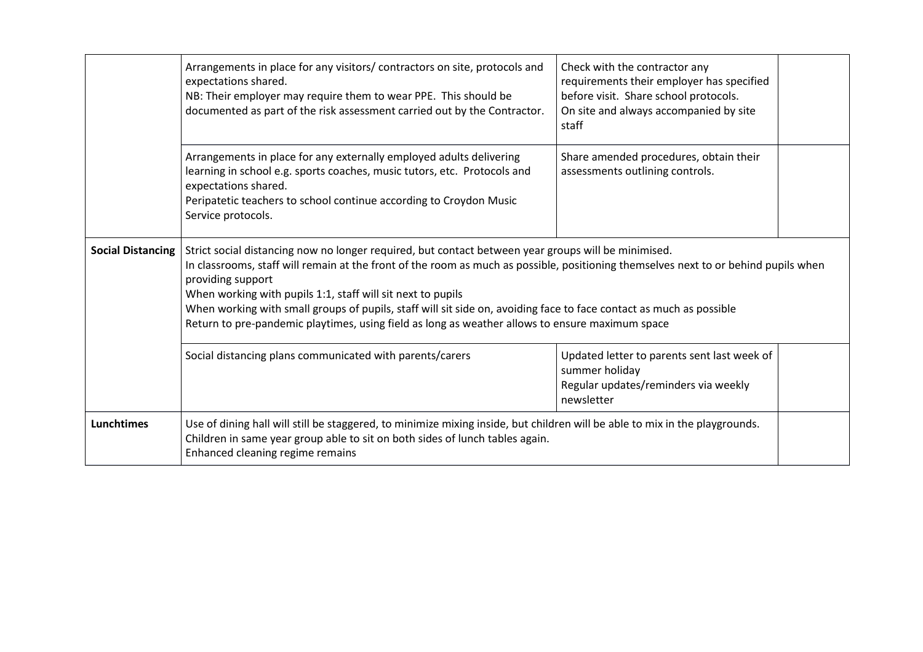|                          | Arrangements in place for any visitors/ contractors on site, protocols and<br>expectations shared.<br>NB: Their employer may require them to wear PPE. This should be<br>documented as part of the risk assessment carried out by the Contractor.                                                                                                                                                                                                                                                                                                        | Check with the contractor any<br>requirements their employer has specified<br>before visit. Share school protocols.<br>On site and always accompanied by site<br>staff |  |
|--------------------------|----------------------------------------------------------------------------------------------------------------------------------------------------------------------------------------------------------------------------------------------------------------------------------------------------------------------------------------------------------------------------------------------------------------------------------------------------------------------------------------------------------------------------------------------------------|------------------------------------------------------------------------------------------------------------------------------------------------------------------------|--|
|                          | Arrangements in place for any externally employed adults delivering<br>learning in school e.g. sports coaches, music tutors, etc. Protocols and<br>expectations shared.<br>Peripatetic teachers to school continue according to Croydon Music<br>Service protocols.                                                                                                                                                                                                                                                                                      | Share amended procedures, obtain their<br>assessments outlining controls.                                                                                              |  |
| <b>Social Distancing</b> | Strict social distancing now no longer required, but contact between year groups will be minimised.<br>In classrooms, staff will remain at the front of the room as much as possible, positioning themselves next to or behind pupils when<br>providing support<br>When working with pupils 1:1, staff will sit next to pupils<br>When working with small groups of pupils, staff will sit side on, avoiding face to face contact as much as possible<br>Return to pre-pandemic playtimes, using field as long as weather allows to ensure maximum space |                                                                                                                                                                        |  |
|                          | Social distancing plans communicated with parents/carers                                                                                                                                                                                                                                                                                                                                                                                                                                                                                                 | Updated letter to parents sent last week of<br>summer holiday<br>Regular updates/reminders via weekly<br>newsletter                                                    |  |
| <b>Lunchtimes</b>        | Use of dining hall will still be staggered, to minimize mixing inside, but children will be able to mix in the playgrounds.<br>Children in same year group able to sit on both sides of lunch tables again.<br>Enhanced cleaning regime remains                                                                                                                                                                                                                                                                                                          |                                                                                                                                                                        |  |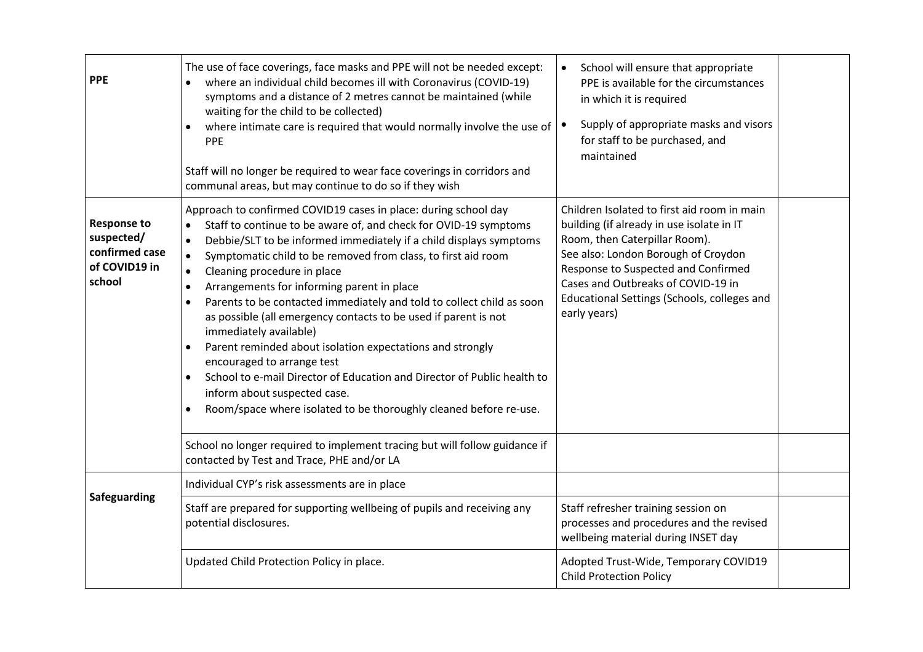| <b>PPE</b>                                                                    | The use of face coverings, face masks and PPE will not be needed except:<br>where an individual child becomes ill with Coronavirus (COVID-19)<br>symptoms and a distance of 2 metres cannot be maintained (while<br>waiting for the child to be collected)<br>where intimate care is required that would normally involve the use of<br><b>PPE</b><br>Staff will no longer be required to wear face coverings in corridors and<br>communal areas, but may continue to do so if they wish                                                                                                                                                                                                                                                                                                                                                                                  | School will ensure that appropriate<br>$\bullet$<br>PPE is available for the circumstances<br>in which it is required<br>Supply of appropriate masks and visors<br>for staff to be purchased, and<br>maintained                                                                                              |  |
|-------------------------------------------------------------------------------|---------------------------------------------------------------------------------------------------------------------------------------------------------------------------------------------------------------------------------------------------------------------------------------------------------------------------------------------------------------------------------------------------------------------------------------------------------------------------------------------------------------------------------------------------------------------------------------------------------------------------------------------------------------------------------------------------------------------------------------------------------------------------------------------------------------------------------------------------------------------------|--------------------------------------------------------------------------------------------------------------------------------------------------------------------------------------------------------------------------------------------------------------------------------------------------------------|--|
| <b>Response to</b><br>suspected/<br>confirmed case<br>of COVID19 in<br>school | Approach to confirmed COVID19 cases in place: during school day<br>Staff to continue to be aware of, and check for OVID-19 symptoms<br>Debbie/SLT to be informed immediately if a child displays symptoms<br>$\bullet$<br>Symptomatic child to be removed from class, to first aid room<br>$\bullet$<br>Cleaning procedure in place<br>$\bullet$<br>Arrangements for informing parent in place<br>$\bullet$<br>Parents to be contacted immediately and told to collect child as soon<br>$\bullet$<br>as possible (all emergency contacts to be used if parent is not<br>immediately available)<br>Parent reminded about isolation expectations and strongly<br>encouraged to arrange test<br>School to e-mail Director of Education and Director of Public health to<br>inform about suspected case.<br>Room/space where isolated to be thoroughly cleaned before re-use. | Children Isolated to first aid room in main<br>building (if already in use isolate in IT<br>Room, then Caterpillar Room).<br>See also: London Borough of Croydon<br>Response to Suspected and Confirmed<br>Cases and Outbreaks of COVID-19 in<br>Educational Settings (Schools, colleges and<br>early years) |  |
|                                                                               | School no longer required to implement tracing but will follow guidance if<br>contacted by Test and Trace, PHE and/or LA                                                                                                                                                                                                                                                                                                                                                                                                                                                                                                                                                                                                                                                                                                                                                  |                                                                                                                                                                                                                                                                                                              |  |
| Safeguarding                                                                  | Individual CYP's risk assessments are in place                                                                                                                                                                                                                                                                                                                                                                                                                                                                                                                                                                                                                                                                                                                                                                                                                            |                                                                                                                                                                                                                                                                                                              |  |
|                                                                               | Staff are prepared for supporting wellbeing of pupils and receiving any<br>potential disclosures.                                                                                                                                                                                                                                                                                                                                                                                                                                                                                                                                                                                                                                                                                                                                                                         | Staff refresher training session on<br>processes and procedures and the revised<br>wellbeing material during INSET day                                                                                                                                                                                       |  |
|                                                                               | Updated Child Protection Policy in place.                                                                                                                                                                                                                                                                                                                                                                                                                                                                                                                                                                                                                                                                                                                                                                                                                                 | Adopted Trust-Wide, Temporary COVID19<br><b>Child Protection Policy</b>                                                                                                                                                                                                                                      |  |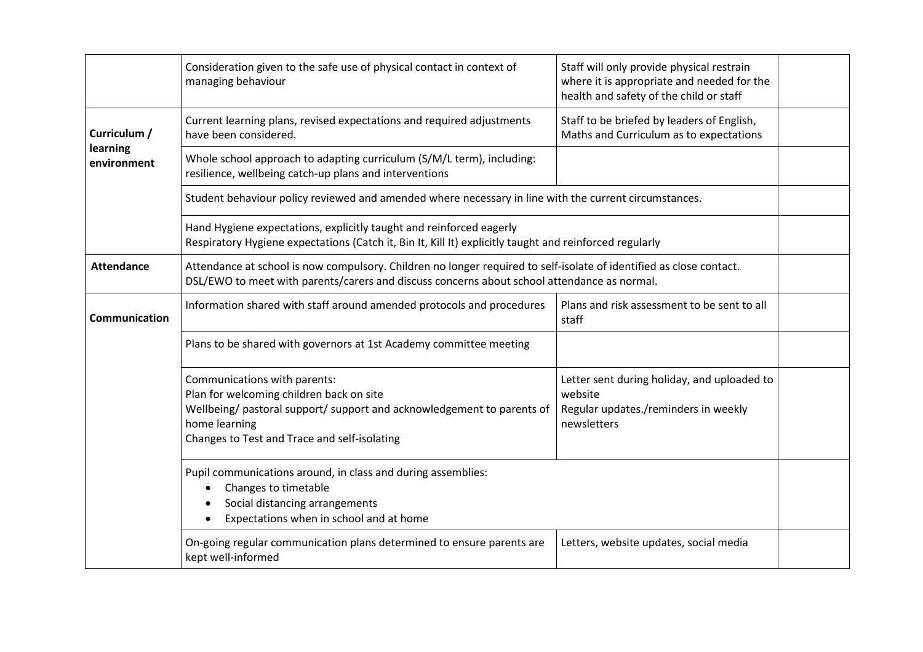|                         | Consideration given to the safe use of physical contact in context of<br>managing behaviour                                                                                                                         | Staff will only provide physical restrain<br>where it is appropriate and needed for the<br>health and safety of the child or staff |  |
|-------------------------|---------------------------------------------------------------------------------------------------------------------------------------------------------------------------------------------------------------------|------------------------------------------------------------------------------------------------------------------------------------|--|
| Curriculum /            | Current learning plans, revised expectations and required adjustments<br>have been considered.                                                                                                                      | Staff to be briefed by leaders of English,<br>Maths and Curriculum as to expectations                                              |  |
| learning<br>environment | Whole school approach to adapting curriculum (S/M/L term), including:<br>resilience, wellbeing catch-up plans and interventions                                                                                     |                                                                                                                                    |  |
|                         | Student behaviour policy reviewed and amended where necessary in line with the current circumstances.                                                                                                               |                                                                                                                                    |  |
|                         | Hand Hygiene expectations, explicitly taught and reinforced eagerly<br>Respiratory Hygiene expectations (Catch it, Bin It, Kill It) explicitly taught and reinforced regularly                                      |                                                                                                                                    |  |
| <b>Attendance</b>       | Attendance at school is now compulsory. Children no longer required to self-isolate of identified as close contact.<br>DSL/EWO to meet with parents/carers and discuss concerns about school attendance as normal.  |                                                                                                                                    |  |
| <b>Communication</b>    | Information shared with staff around amended protocols and procedures                                                                                                                                               | Plans and risk assessment to be sent to all<br>staff                                                                               |  |
|                         | Plans to be shared with governors at 1st Academy committee meeting                                                                                                                                                  |                                                                                                                                    |  |
|                         | Communications with parents:<br>Plan for welcoming children back on site<br>Wellbeing/ pastoral support/ support and acknowledgement to parents of<br>home learning<br>Changes to Test and Trace and self-isolating | Letter sent during holiday, and uploaded to<br>website<br>Regular updates./reminders in weekly<br>newsletters                      |  |
|                         | Pupil communications around, in class and during assemblies:<br>Changes to timetable<br>Social distancing arrangements<br>Expectations when in school and at home                                                   |                                                                                                                                    |  |
|                         | On-going regular communication plans determined to ensure parents are<br>kept well-informed                                                                                                                         | Letters, website updates, social media                                                                                             |  |